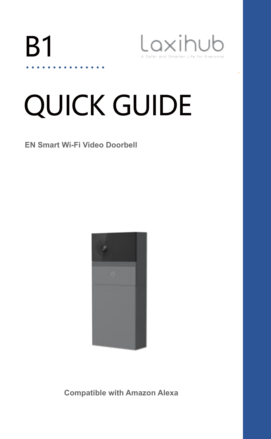

# QUICK GUIDE

**EN Smart Wi-Fi Video Doorbell**



**Compatible with Amazon Alexa**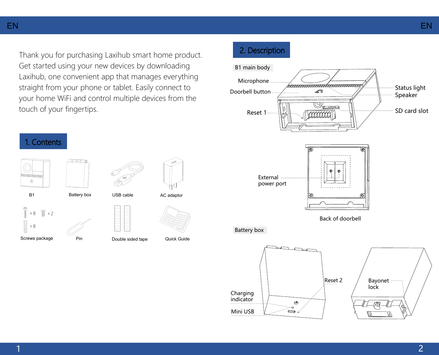Thank you for purchasing Laxihub smart home product. Get started using your new devices by downloading Laxihub, one convenient app that manages everything straight from your phone or tablet. Easily connect to your home WiFi and control multiple devices from the touch of your fingertips.



### 2. Description

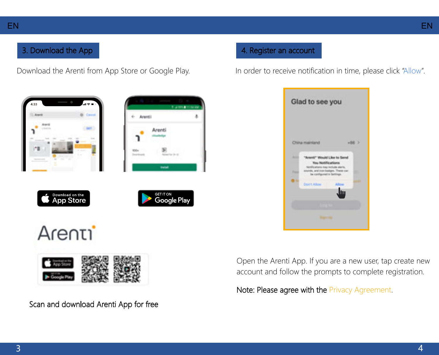Download the Arenti from App Store or Google Play.



Scan and download Arenti App for free

# 3. Download the App 4. Register an account

In order to receive notification in time, please click "Allow".



Open the Arenti App. If you are a new user, tap create new account and follow the prompts to complete registration.

Note: Please agree with the Privacy Agreement.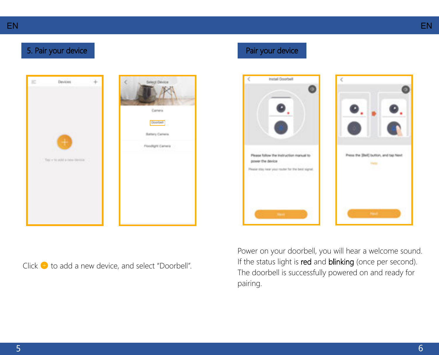## 5. Pair your device Pair your device Pair your device







Click  $\bigodot$  to add a new device, and select "Doorbell".

Power on your doorbell, you will hear a welcome sound. If the status light is red and blinking (once per second). The doorbell is successfully powered on and ready for pairing.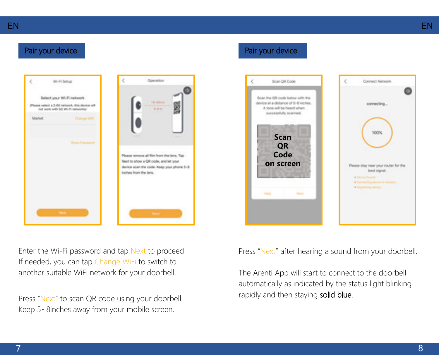

Enter the Wi-Fi password and tap Next to proceed. If needed, you can tap Change WiFi to switch to another suitable WiFi network for your doorbell.

Press "Next" to scan QR code using your doorbell. Keep 5~8inches away from your mobile screen.

Press "Next" after hearing a sound from your doorbell.

The Arenti App will start to connect to the doorbell automatically as indicated by the status light blinking rapidly and then staving solid blue.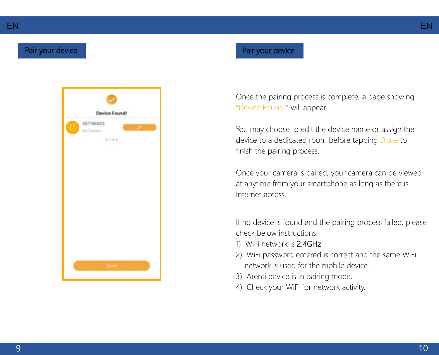### Pair your device Pair your device



Once the pairing process is complete, a page showing "Device Found!" will appear.

You may choose to edit the device name or assign the device to a dedicated room before tapping Done to finish the pairing process.

Once your camera is paired, your camera can be viewed at anytime from your smartphone as long as there is Internet access.

If no device is found and the pairing process failed, please check below instructions:

- 1) WiFi network is 2.4GHz.
- 2) WiFi password entered is correct and the same WiFi network is used for the mobile device.
- 3) Arenti device is in pairing mode.
- 4) Check your WiFi for network activity.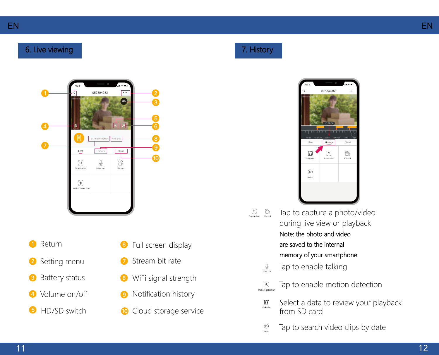### 6. Live viewing the contract of the contract of the contract of the contract of the contract of the contract of the contract of the contract of the contract of the contract of the contract of the contract of the contract o

Б. ō Cloud  $\begin{bmatrix} \circ \\ \circ \circ \end{bmatrix}$  $\overset{\bigoplus}{\underbrace{\cup}}$  $\mathcal{C}_1$ Record  $\mathcal{X}$ Motion

- Return O
- Setting menu 2
- Battery status Q
- $\bullet$
- 
- Full screen display 6
- Stream bit rate
- WiFi signal strength a
- Volume on/off **O** Notification history
- **G** HD/SD switch Cloud storage service



- Tap to capture a photo/video during live view or playback Note: the photo and video are saved to the internal memory of your smartphone  $\overset{\bigcirc}{\cong}$ Tap to enable talking Tap to enable motion detection  $\mathcal{K}$  .
	- $\hfill\Box$ Select a data to review your playback from SD card
	- $\overline{\mathbb{Q}}$ Tap to search video clips by date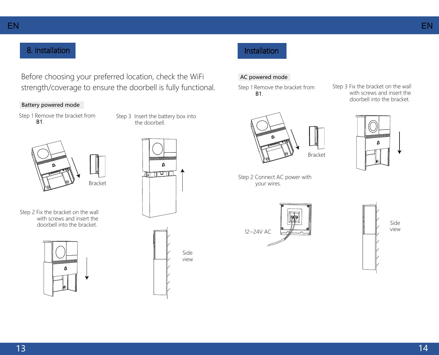### 8. Installation

Before choosing your preferred location, check the WiFi strength/coverage to ensure the doorbell is fully functional.

#### Battery powered mode

Step 1 Remove the bracket from B1.



Step 3 Insert the battery box into the doorbell.

Step 2 Fix the bracket on the wall with screws and insert the doorbell into the bracket.





## Installation

#### AC powered mode

Step 1 Remove the bracket from B1.





Step 2 Connect AC power with your wires.



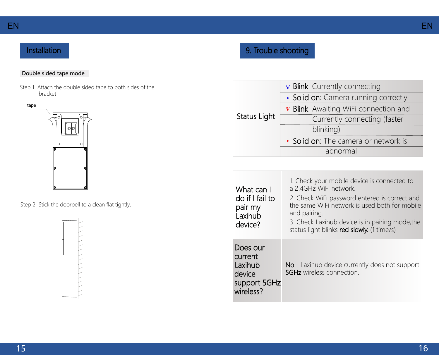#### EN EN

#### Double sided tape mode

Step 1 Attach the double sided tape to both sides of the bracket



Step 2 Stick the doorbell to a clean flat tightly.



# Installation **Installation** 9. Trouble shooting

| Status Light | <b>v</b> Blink: Currently connecting         |
|--------------|----------------------------------------------|
|              | • Solid on: Camera running correctly         |
|              | <b>¥ Blink:</b> Awaiting WiFi connection and |
|              | Currently connecting (faster                 |
|              | blinking)                                    |
|              | • Solid on: The camera or network is         |
|              | abnormal                                     |

| What can I<br>do if I fail to<br>pair my<br>Laxihub<br>device?        | 1. Check your mobile device is connected to<br>a 2 4GHz WiFi network<br>2. Check WiFi password entered is correct and<br>the same WiFi network is used both for mobile<br>and pairing.<br>3. Check Laxihub device is in pairing mode, the<br>status light blinks red slowly. (1 time/s) |
|-----------------------------------------------------------------------|-----------------------------------------------------------------------------------------------------------------------------------------------------------------------------------------------------------------------------------------------------------------------------------------|
| Does our<br>current<br>Laxihub<br>device<br>support 5GHz<br>wireless? | No - Laxihub device currently does not support<br><b>5GHz</b> wireless connection                                                                                                                                                                                                       |